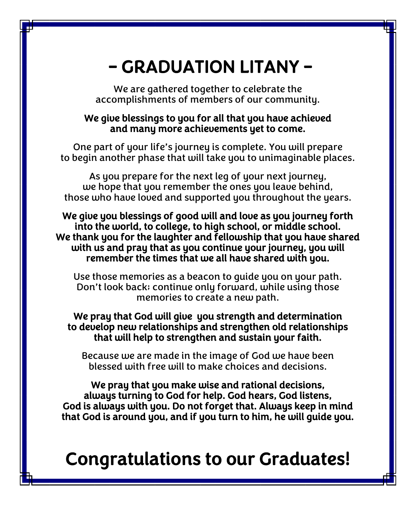## – GRADUATION LITANY –

We are gathered together to celebrate the accomplishments of members of our community.

## We give blessings to you for all that you have achieved and many more achievements yet to come.

One part of your life's journey is complete. You will prepare to begin another phase that will take you to unimaginable places.

As you prepare for the next leg of your next journey, we hope that you remember the ones you leave behind, those who have loved and supported you throughout the years.

We give you blessings of good will and love as you journey forth into the world, to college, to high school, or middle school. We thank you for the laughter and fellowship that you have shared with us and pray that as you continue your journey, you will remember the times that we all have shared with you.

Use those memories as a beacon to guide you on your path. Don't look back; continue only forward, while using those memories to create a new path.

We pray that God will give you strength and determination to develop new relationships and strengthen old relationships that will help to strengthen and sustain your faith.

Because we are made in the image of God we have been blessed with free will to make choices and decisions.

We pray that you make wise and rational decisions, always turning to God for help. God hears, God listens, God is always with you. Do not forget that. Always keep in mind that God is around you, and if you turn to him, he will guide you.

## Congratulations to our Graduates!